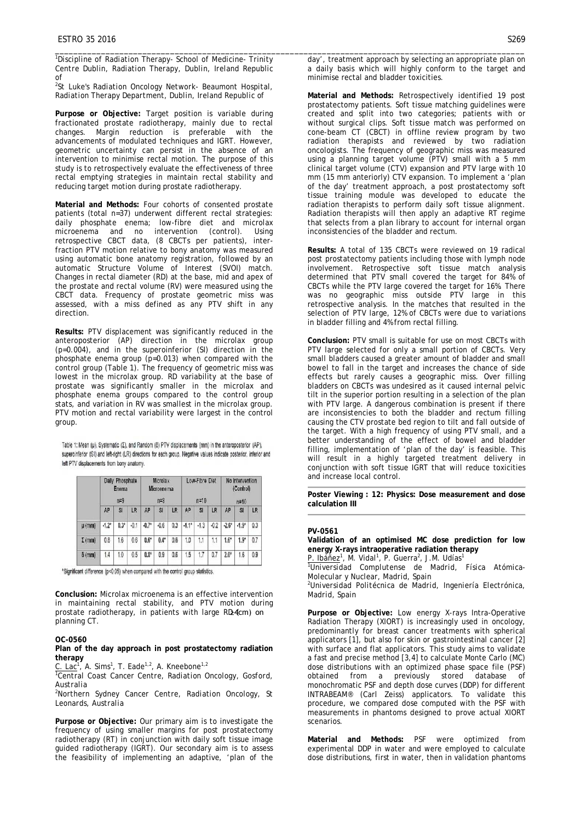*1 Discipline of Radiation Therapy- School of Medicine- Trinity Centre Dublin, Radiation Therapy, Dublin, Ireland Republic of*

\_\_\_\_\_\_\_\_\_\_\_\_\_\_\_\_\_\_\_\_\_\_\_\_\_\_\_\_\_\_\_\_\_\_\_\_\_\_\_\_\_\_\_\_\_\_\_\_\_\_\_\_\_\_\_\_\_\_\_\_\_\_\_\_\_\_\_\_\_\_\_\_\_\_\_\_\_\_\_\_\_\_\_\_\_\_\_\_\_\_\_\_\_\_\_\_\_\_\_\_\_\_

*2 St Luke's Radiation Oncology Network- Beaumont Hospital, Radiation Therapy Department, Dublin, Ireland Republic of*

**Purpose or Objective:** Target position is variable during fractionated prostate radiotherapy, mainly due to rectal Margin reduction is preferable with the advancements of modulated techniques and IGRT. However, geometric uncertainty can persist in the absence of an intervention to minimise rectal motion. The purpose of this study is to retrospectively evaluate the effectiveness of three rectal emptying strategies in maintain rectal stability and reducing target motion during prostate radiotherapy.

**Material and Methods:** Four cohorts of consented prostate patients (total n=37) underwent different rectal strategies: daily phosphate enema; low-fibre diet and microlax microenema and no intervention (control). Using retrospective CBCT data, (8 CBCTs per patients), interfraction PTV motion relative to bony anatomy was measured using automatic bone anatomy registration, followed by an automatic Structure Volume of Interest (SVOI) match. Changes in rectal diameter (RD) at the base, mid and apex of the prostate and rectal volume (RV) were measured using the CBCT data. Frequency of prostate geometric miss was assessed, with a miss defined as any PTV shift in any direction.

**Results:** PTV displacement was significantly reduced in the anteroposterior (AP) direction in the microlax group (p=0.004), and in the superoinferior (SI) direction in the  $p$ hosphate enema group ( $p=0.013$ ) when compared with the control group (Table 1). The frequency of geometric miss was lowest in the microlax group. RD variability at the base of prostate was significantly smaller in the microlax and phosphate enema groups compared to the control group stats, and variation in RV was smallest in the microlax group. PTV motion and rectal variability were largest in the control group.

Table 1: Mean (u), Systematic (Σ), and Random (δ) PTV displacements (mm) in the anteroposterior (AP), superoinferior (SI) and left-right (LR) directions for each group. Negative values indicate posterior, inferior and left PTV displacements from bony anatomy.

|               | Daily Phosphate<br>Enema<br>$n=9$ |                  |        | <b>Microlax</b><br>Microenema<br>$n=8$ |        |     | Low-Fibre Diet<br>$n=10$ |           |        | No Intervention<br>(Control)<br>$n=10$ |           |     |
|---------------|-----------------------------------|------------------|--------|----------------------------------------|--------|-----|--------------------------|-----------|--------|----------------------------------------|-----------|-----|
|               | AP                                | SI               | LR     | AP                                     | SI     | LR  | AP                       | <b>SI</b> | LR     | AP                                     | <b>SI</b> | LR  |
| $\mu$ (mm)    | $-1.2*$                           | 0.3 <sup>t</sup> | $-0.1$ | $-0.7*$                                | $-0.6$ | 0.3 | $-1.1*$                  | $-1.3$    | $-0.2$ | $-2.6*$                                | $-1.9*$   | 0.3 |
| $\Sigma$ (mm) | 0.8                               | 1.6              | 0.6    | $0.6*$                                 | $0.4*$ | 0.6 | 1.0                      | 1.1       | 1.1    | $1.6^*$                                | $1.9*$    | 0.7 |
| $\delta$ (mm) | 1.4                               | 1.0              | 0.5    | $0.8^{\circ}$                          | 0.9    | 0.6 | 1.5                      | 1.7       | 0.7    | $2.0^{\circ}$                          | 1.6       | 0.9 |

\*Significant difference (p<0.05) when compared with the control group statistics.

**Conclusion:** Microlax microenema is an effective intervention in maintaining rectal stability, and PTV motion during prostate radiotherapy, in patients with large RD4cm) on planning CT.

## **OC-0560**

## **Plan of the day approach in post prostatectomy radiation therapy**

 $C.$  Lac<sup>1</sup>, A. Sims<sup>1</sup>, T. Eade<sup>1,2</sup>, A. Kneebone<sup>1,2</sup>

*1 Central Coast Cancer Centre, Radiation Oncology, Gosford, Australia*

*2 Northern Sydney Cancer Centre, Radiation Oncology, St Leonards, Australia*

**Purpose or Objective:** Our primary aim is to investigate the frequency of using smaller margins for post prostatectomy radiotherapy (RT) in conjunction with daily soft tissue image guided radiotherapy (IGRT). Our secondary aim is to assess the feasibility of implementing an adaptive, 'plan of the

day', treatment approach by selecting an appropriate plan on a daily basis which will highly conform to the target and minimise rectal and bladder toxicities.

**Material and Methods:** Retrospectively identified 19 post prostatectomy patients. Soft tissue matching guidelines were created and split into two categories; patients with or without surgical clips. Soft tissue match was performed on cone-beam CT (CBCT) in offline review program by two radiation therapists and reviewed by two radiation oncologists. The frequency of geographic miss was measured using a planning target volume (PTV) small with a 5 mm clinical target volume (CTV) expansion and PTV large with 10 mm (15 mm anteriorly) CTV expansion. To implement a 'plan of the day' treatment approach, a post prostatectomy soft tissue training module was developed to educate the radiation therapists to perform daily soft tissue alignment. Radiation therapists will then apply an adaptive RT regime that selects from a plan library to account for internal organ inconsistencies of the bladder and rectum.

**Results:** A total of 135 CBCTs were reviewed on 19 radical post prostatectomy patients including those with lymph node involvement. Retrospective soft tissue match analysis determined that PTV small covered the target for 84% of CBCTs while the PTV large covered the target for 16%. There was no geographic miss outside PTV large in this retrospective analysis. In the matches that resulted in the selection of PTV large, 12% of CBCTs were due to variations in bladder filling and 4% from rectal filling.

**Conclusion:** PTV small is suitable for use on most CBCTs with PTV large selected for only a small portion of CBCTs. Very small bladders caused a greater amount of bladder and small bowel to fall in the target and increases the chance of side effects but rarely causes a geographic miss. Over filling bladders on CBCTs was undesired as it caused internal pelvic tilt in the superior portion resulting in a selection of the plan with PTV large. A dangerous combination is present if there are inconsistencies to both the bladder and rectum filling causing the CTV prostate bed region to tilt and fall outside of the target. With a high frequency of using PTV small, and a better understanding of the effect of bowel and bladder filling, implementation of 'plan of the day' is feasible. This will result in a highly targeted treatment delivery in conjunction with soft tissue IGRT that will reduce toxicities and increase local control.

**Poster Viewing : 12: Physics: Dose measurement and dose calculation III** 

## **PV-0561**

**Validation of an optimised MC dose prediction for low energy X-rays intraoperative radiation therapy**

P. Ibáñez<sup>1</sup>, M. Vidal<sup>1</sup>, P. Guerra<sup>2</sup>, J.M. Udías<sup>1</sup>

*1 Universidad Complutense de Madrid, Física Atómica-Molecular y Nuclear, Madrid, Spain*

*2 Universidad Politécnica de Madrid, Ingeniería Electrónica, Madrid, Spain*

**Purpose or Objective:** Low energy X-rays Intra-Operative Radiation Therapy (XIORT) is increasingly used in oncology, predominantly for breast cancer treatments with spherical applicators [1], but also for skin or gastrointestinal cancer [2] with surface and flat applicators. This study aims to validate a fast and precise method [3,4] to calculate Monte Carlo (MC) dose distributions with an optimized phase space file (PSF) obtained from a previously stored database of monochromatic PSF and depth dose curves (DDP) for different INTRABEAM® (Carl Zeiss) applicators. To validate this procedure, we compared dose computed with the PSF with measurements in phantoms designed to prove actual XIORT scenarios.

**Material and Methods:** PSF were optimized from experimental DDP in water and were employed to calculate dose distributions, first in water, then in validation phantoms